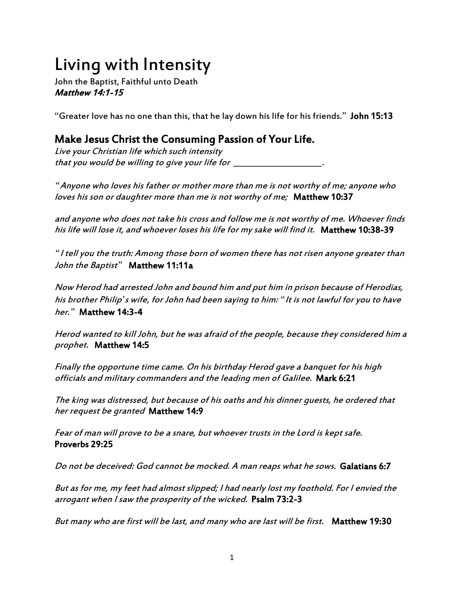## Living with Intensity

John the Baptist, Faithful unto Death Matthew 14:1-15

"Greater love has no one than this, that he lay down his life for his friends." John 15:13

## Make Jesus Christ the Consuming Passion of Your Life.

Live your Christian life which such intensity that you would be willing to give your life for  $\_\_$ 

*"*Anyone who loves his father or mother more than me is not worthy of me; anyone who loves his son or daughter more than me is not worthy of me; Matthew 10:37

and anyone who does not take his cross and follow me is not worthy of me. Whoever finds his life will lose it, and whoever loses his life for my sake will find it. Matthew 10:38-39

*"*I tell you the truth: Among those born of women there has not risen anyone greater than John the Baptist*"* Matthew 11:11a

Now Herod had arrested John and bound him and put him in prison because of Herodias, his brother Philip*'*s wife, for John had been saying to him: *"*It is not lawful for you to have her.*"* Matthew 14:3-4

Herod wanted to kill John, but he was afraid of the people, because they considered him a prophet. Matthew 14:5

Finally the opportune time came. On his birthday Herod gave a banquet for his high officials and military commanders and the leading men of Galilee. Mark 6:21

The king was distressed, but because of his oaths and his dinner guests, he ordered that her request be granted Matthew 14:9

Fear of man will prove to be a snare, but whoever trusts in the Lord is kept safe. Proverbs 29:25

Do not be deceived: God cannot be mocked. A man reaps what he sows. Galatians 6:7

But as for me, my feet had almost slipped; I had nearly lost my foothold. For I envied the arrogant when I saw the prosperity of the wicked. Psalm 73:2-3

But many who are first will be last, and many who are last will be first. Matthew 19:30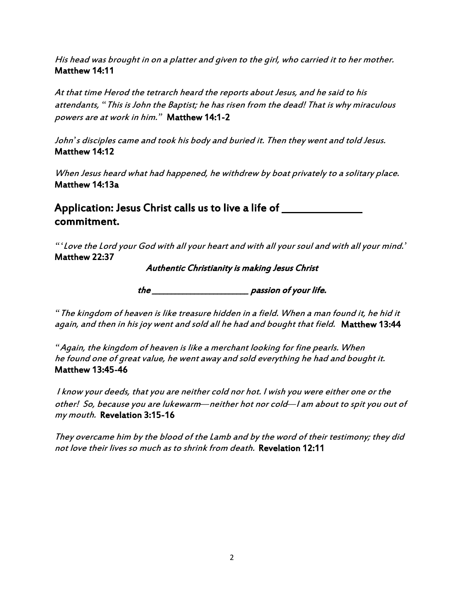His head was brought in on a platter and given to the girl, who carried it to her mother. Matthew 14:11

At that time Herod the tetrarch heard the reports about Jesus, and he said to his attendants, *"*This is John the Baptist; he has risen from the dead! That is why miraculous powers are at work in him.*"* Matthew 14:1-2

John*'*s disciples came and took his body and buried it. Then they went and told Jesus. Matthew 14:12

When Jesus heard what had happened, he withdrew by boat privately to a solitary place. Matthew 14:13a

Application: Jesus Christ calls us to live a life of \_\_\_\_\_\_\_\_\_\_\_\_ commitment.

*"'*Love the Lord your God with all your heart and with all your soul and with all your mind.*'* Matthew 22:37

Authentic Christianity is making Jesus Christ

the \_\_\_\_\_\_\_\_\_\_\_\_\_\_\_\_\_\_\_\_\_\_\_\_\_ passion of your life.

*"*The kingdom of heaven is like treasure hidden in a field. When a man found it, he hid it again, and then in his joy went and sold all he had and bought that field. Matthew 13:44

*"*Again, the kingdom of heaven is like a merchant looking for fine pearls. When he found one of great value, he went away and sold everything he had and bought it. Matthew 13:45-46

I know your deeds, that you are neither cold nor hot. I wish you were either one or the other! So, because you are lukewarm*—*neither hot nor cold*—*I am about to spit you out of my mouth. Revelation 3:15-16

They overcame him by the blood of the Lamb and by the word of their testimony; they did not love their lives so much as to shrink from death. Revelation 12:11